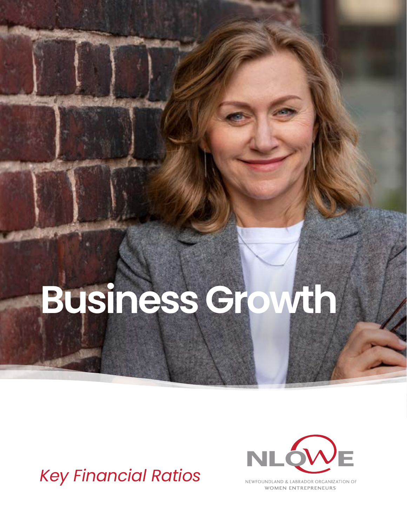# **Business Growth**

## *Key Financial Ratios*



NEWFOUNDLAND & LABRADOR ORGANIZATION OF **WOMEN ENTREPRENEURS**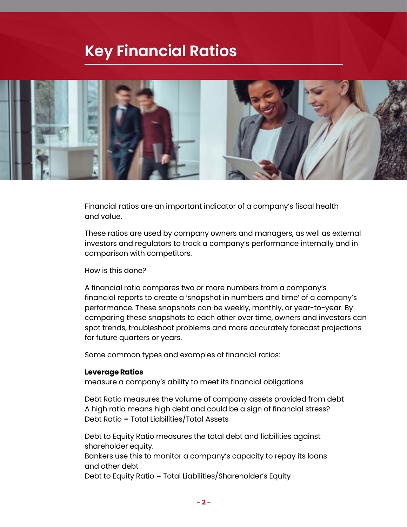### **Key Financial Ratios**



Financial ratios are an important indicator of a company's fiscal health and value.

These ratios are used by company owners and managers, as well as external investors and regulators to track a company's performance internally and in comparison with competitors.

How is this done?

A financial ratio compares two or more numbers from a company's financial reports to create a 'snapshot in numbers and time' of a company's performance. These snapshots can be weekly, monthly, or year-to-year. By comparing these snapshots to each other over time, owners and investors can spot trends, troubleshoot problems and more accurately forecast projections for future quarters or years.

Some common types and examples of financial ratios:

#### **Leverage Ratios**

measure a company's ability to meet its financial obligations

Debt Ratio measures the volume of company assets provided from debt A high ratio means high debt and could be a sign of financial stress? Debt Ratio = Total Liabilities/Total Assets

Debt to Equity Ratio measures the total debt and liabilities against shareholder equity.

Bankers use this to monitor a company's capacity to repay its loans and other debt

Debt to Equity Ratio = Total Liabilities/Shareholder's Equity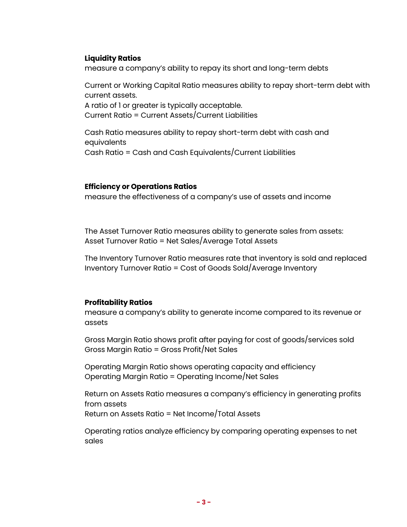#### **Liquidity Ratios**

measure a company's ability to repay its short and long-term debts

Current or Working Capital Ratio measures ability to repay short-term debt with current assets.

A ratio of 1 or greater is typically acceptable. Current Ratio = Current Assets/Current Liabilities

Cash Ratio measures ability to repay short-term debt with cash and equivalents Cash Ratio = Cash and Cash Equivalents/Current Liabilities

#### **Efficiency or Operations Ratios**

measure the effectiveness of a company's use of assets and income

The Asset Turnover Ratio measures ability to generate sales from assets: Asset Turnover Ratio = Net Sales/Average Total Assets

The Inventory Turnover Ratio measures rate that inventory is sold and replaced Inventory Turnover Ratio = Cost of Goods Sold/Average Inventory

#### **Profitability Ratios**

measure a company's ability to generate income compared to its revenue or assets

Gross Margin Ratio shows profit after paying for cost of goods/services sold Gross Margin Ratio = Gross Profit/Net Sales

Operating Margin Ratio shows operating capacity and efficiency Operating Margin Ratio = Operating Income/Net Sales

Return on Assets Ratio measures a company's efficiency in generating profits from assets Return on Assets Ratio = Net Income/Total Assets

Operating ratios analyze efficiency by comparing operating expenses to net sales